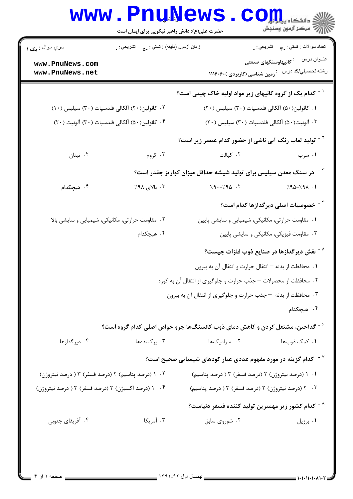|                                                                                                            | حضرت علی(ع): دانش راهبر نیکویی برای ایمان است   | <b>www.PnuNews.CO</b>                                                             | ر آمرڪز آزمون وسنڊش                                   |
|------------------------------------------------------------------------------------------------------------|-------------------------------------------------|-----------------------------------------------------------------------------------|-------------------------------------------------------|
| سري سوال : پک ۱                                                                                            | زمان أزمون (دقيقه) : تستى : ۵۰٪ نشريحي : .      |                                                                                   | تعداد سوالات : تستبي : پم       تشريحي : .            |
| www.PnuNews.com<br>www.PnuNews.net                                                                         |                                                 | .<br>زمین شناسی (کاربردی )۶۰۶۰(۱۱۱                                                | رشته تحصيلي/كد درس                                    |
|                                                                                                            |                                                 | <sup>۱ -</sup> کدام یک از گروه کانیهای زیر مواد اولیه خاک چینی است؟               |                                                       |
| ٠١ كائولين(٥٠) آلكالي فلدسپات (٣٠) سيليس (٢٠)<br>۰۲ کائولین(۲۰) آلکالی فلدسپات (۳۰) سیلیس (۱۰)             |                                                 |                                                                                   |                                                       |
| ۰۴ كائولين(۵۰) آلكالي فلدسپات (۳۰) آلونيت (۲۰)<br>۰۳ آلونیت(۵۰) آلکالی فلدسپات (۳۰) سیلیس (۲۰)             |                                                 |                                                                                   |                                                       |
|                                                                                                            |                                                 | <sup>۲ -</sup> تولید لعاب رنگ آبی ناشی از حضور کدام عنصر زیر است؟                 |                                                       |
| ۰۴ تیتان                                                                                                   | ۰۳ کروم                                         | ٠٢ كبالت                                                                          | ۰۱ سرب                                                |
|                                                                                                            |                                                 | <sup>۲ -</sup> در سنگ معدن سیلیس برای تولید شیشه حداقل میزان کوارتز چقدر است؟     |                                                       |
| ۰۴ هیچکدام                                                                                                 | ۰۳ بالای ۹۸٪                                    | $7.9 - 7.90$ .                                                                    | $7.90 - 7.91$ .                                       |
|                                                                                                            |                                                 |                                                                                   | <sup>۴ -</sup> خصوصیات اصلی دیرگدازها کدام است؟       |
|                                                                                                            | ۰۲ مقاومت حرارتی، مکانیکی، شیمیایی و سایشی بالا | ٠١ مقاومت حرارتي، مكانيكي، شيميايي و سايشي پايين                                  |                                                       |
|                                                                                                            | ۰۴ هیچکدام                                      |                                                                                   | ۰۳ مقاومت فیزیکی، مکانیکی و سایشی پایین               |
|                                                                                                            |                                                 |                                                                                   | <sup>۵ -</sup> نقش دیرگدازها در صنایع ذوب فلزات چیست؟ |
|                                                                                                            |                                                 | ۰۱ محافظت از بدنه – انتقال حرارت و انتقال آن به بيرون                             |                                                       |
|                                                                                                            |                                                 | ۰۲ محافظت از محصولات – جذب حرارت و جلوگیری از انتقال آن به کوره                   |                                                       |
|                                                                                                            |                                                 | ۰۳ محافظت از بدنه -جذب حرارت و جلوگیری از انتقال آن به بیرون                      |                                                       |
|                                                                                                            |                                                 |                                                                                   | ۰۴ هیچکدام                                            |
|                                                                                                            |                                                 | گداختن، مشتعل کردن و کاهش دمای ذوب کانسنگها جزو خواص اصلی کدام گروه است؟ $^\circ$ |                                                       |
| ۰۴ دیرگدازها                                                                                               | ۰۳ پرکنندهها                                    | ۰۲ سرامیکها                                                                       | ۰۱ کمک ذوبها                                          |
|                                                                                                            |                                                 | $^{\circ}$ حدام گزینه در مورد مفهوم عددی عیار کودهای شیمیایی صحیح است $^{\circ}$  |                                                       |
| ۰۲ (درصد پتاسیم) ۲ (درصد فسفر) ۱۳ ردرصد نیتروژن)                                                           |                                                 | ۰۱ (درصد نیتروژن) ۲ (درصد فسفر) ۳ ( درصد پتاسیم)                                  |                                                       |
| ۰۴ / (درصد اکسیژن) ۲ (درصد فسفر) ۱۳ ردرصد نیتروژن)<br>۰۳ ـ ۲ (درصد نيتروژن) ۲ (درصد فسفر) ۳ ( درصد پتاسيم) |                                                 |                                                                                   |                                                       |
|                                                                                                            |                                                 | $^{\circ}$ حدام کشور زیر مهمترین تولید کننده فسفر دنیاست $^{\circ}$               |                                                       |
| ۰۴ آفریقای جنوبی                                                                                           | ۰۳ آمریکا                                       | ۰۲ شوروی سابق                                                                     | ۰۱ برزیل                                              |
|                                                                                                            |                                                 |                                                                                   |                                                       |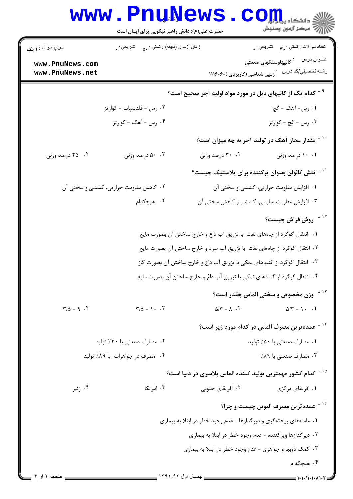|                                                           | www.PnuNews<br>حضرت علی(ع): دانش راهبر نیکویی برای ایمان است      |                                                                            | ان دانشڪاه پيا دانشڪا<br>اڳ سرڪز آزمون وسنڊش                 |
|-----------------------------------------------------------|-------------------------------------------------------------------|----------------------------------------------------------------------------|--------------------------------------------------------------|
| سري سوال : ۱ يک                                           | زمان أزمون (دقيقه) : تستى : ۵۰       تشريحي : .                   |                                                                            | تعداد سوالات : تستي : ٣ <b>. س</b> تشريحي : .                |
| www.PnuNews.com<br>www.PnuNews.net                        |                                                                   |                                                                            | رشته تحصیلی/کد در سن عنز زمین شناسی (کاربردی )۱۱۱۶۰۶۰ (      |
|                                                           |                                                                   | <sup>۹ -</sup> کدام یک از کانیهای ذیل در مورد مواد اولیه آجر صحیح است؟     |                                                              |
|                                                           | ۰۲ رس - فلدسپات - کوارتز                                          |                                                                            | ۱. رس- آهک - گچ                                              |
|                                                           | ۴. رس - آهک - کوارتز                                              |                                                                            | ۰۳ رس - گچ - کوارتز                                          |
|                                                           |                                                                   |                                                                            | <sup>۱۰ -</sup> مقدار مجاز آهک در تولید آجر به چه میزان است؟ |
| ۰۴ درصد وزنی                                              | ۰.۳ درصد وزنی                                                     | ۰۲ درصد وزنی                                                               | ۰۱ ۱۰ درصد وزنی                                              |
|                                                           |                                                                   |                                                                            | <sup>۱۱ -</sup> نقش کائولن بعنوان پرکننده برای پلاستیک چیست؟ |
|                                                           | ۰۲ کاهش مقاومت حرارتی، کششی و سختی آن                             |                                                                            | ۰۱ افزایش مقاومت حرارتی، کششی و سختی آن                      |
|                                                           | ۴. هیچکدام                                                        |                                                                            | ۰۳ افزایش مقاومت سایشی، کششی و کاهش سختی آن                  |
|                                                           |                                                                   |                                                                            | <sup>۱۲ -</sup> روش فراش چیست؟                               |
|                                                           |                                                                   | ۰۱ انتقال گوگرد از چاههای نفت  با تزریق آب داغ و خارج ساختن آن بصورت مایع  |                                                              |
|                                                           |                                                                   | ۲. انتقال گوگرد از چاههای نفت با تزریق آب سرد و خارج ساختن آن بصورت مایع   |                                                              |
|                                                           |                                                                   | ۰۳ انتقال گوگرد از گنبدهای نمکی با تزریق آب داغ و خارج ساختن آن بصورت گاز  |                                                              |
|                                                           |                                                                   | ۰۴ انتقال گوگرد از گنبدهای نمکی با تزریق آب داغ و خارج ساختن آن بصورت مایع |                                                              |
|                                                           |                                                                   |                                                                            | <sup>۱۳ -</sup> وزن مخصوص و سختی الماس چقدر است؟             |
| $\Gamma/\Delta - 9$ . $F$                                 | $\mathbf{Y}/\Delta - 1 \cdot \cdot \mathbf{Y}$                    | $\Delta/\Upsilon - \Lambda$ .                                              | $\Delta/\Upsilon - 1 \cdot 1$                                |
|                                                           |                                                                   |                                                                            | <sup>۱۴ -</sup> عمده ترین مصرف الماس در کدام مورد زیر است؟   |
|                                                           | ۰۲ مصارف صنعتی با ۳۰٪ تولید                                       |                                                                            | ۰۱ مصارف صنعتی با ۵۰٪ تولید                                  |
|                                                           | ۰۴ مصرف در جواهرات با ۸۹٪ تولید                                   |                                                                            | ۰۳ مصارف صنعتی با ۸۹٪                                        |
|                                                           |                                                                   | <sup>۱۵ -</sup> کدام کشور مهمترین تولید کننده الماس پلاسری در دنیا است؟    |                                                              |
| ۰۴ زئیر                                                   | ۰۳ امریکا                                                         | ۰۲ افریقای جنوبی                                                           | ۰۱ افریقای مرکزی                                             |
|                                                           |                                                                   |                                                                            | <sup>۱۶ -</sup> عمده ترین مصرف الیوین چیست و چرا؟            |
|                                                           | ۰۱ ماسههای ریختهگری و دیرگدازها - عدم وجود خطر در ابتلا به بیماری |                                                                            |                                                              |
| ۰۲ دیر گدازها وپر کننده - عدم وجود خطر در ابتلا به بیماری |                                                                   |                                                                            |                                                              |
|                                                           |                                                                   | ۰۳ کمک ذوبها و جواهری - عدم وجود خطر در ابتلا به بیماری                    |                                                              |
|                                                           |                                                                   |                                                                            | ۰۴ هیچکدام                                                   |
| صفحه ۲ ان ۴                                               |                                                                   | ـــ نیمسال اول ۱۳۹۱-۹۲                                                     |                                                              |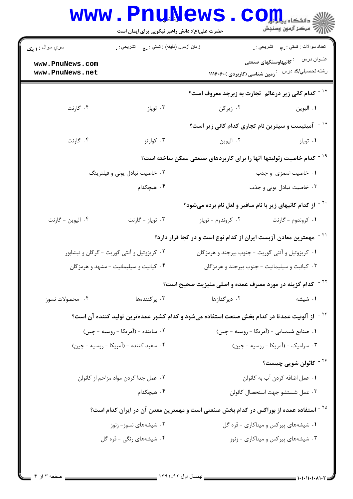|                                                       | حضرت علی(ع): دانش راهبر نیکویی برای ایمان است     |                                                                                                         | رج آمرڪز آزمون وسنڊش                                                            |
|-------------------------------------------------------|---------------------------------------------------|---------------------------------------------------------------------------------------------------------|---------------------------------------------------------------------------------|
| سري سوال : ۱ يک<br>www.PnuNews.com<br>www.PnuNews.net | زمان أزمون (دقيقه) : تستي : . ٥٠       تشريحي : . | رشته تحصیلی/کد در سن عنز زمین شناسی (کاربردی )۱۱۱۶۰۶۰                                                   | تعداد سوالات : تستبي : ٩٠ - تشريحي : .<br>عنـوان درس      : کانیهاوسنگهای صنعتی |
|                                                       |                                                   | د - کدام کانی زیر درعالم ِ تجارت به زبرجد معروف است $^{\circ}$                                          |                                                                                 |
| ۰۴ گارنت                                              | ۰۳ توپاز                                          | ۰۲ زیرکن                                                                                                | ٠١. اليوين                                                                      |
|                                                       |                                                   | <sup>۱۱ -</sup> آمیتیست و سیترین نام تجاری کدام کانی زیر است؟                                           |                                                                                 |
| ۰۴ گارنت                                              | ۰۳ کوارتز                                         | ۰۲ اليوين                                                                                               | ۰۱ توپاز                                                                        |
|                                                       |                                                   | <sup>۱۹ -</sup> کدام خاصیت زئولیتها آنها را برای کاربردهای صنعتی ممکن ساخته است؟                        |                                                                                 |
| ۰۲ خاصیت تبادل یونی و فیلترینگ                        |                                                   |                                                                                                         | ٠١ خاصيت اسمزى وجذب                                                             |
|                                                       | ۰۴ هیچکدام                                        |                                                                                                         | ۰۳ خاصیت تبادل یونی و جذب                                                       |
|                                                       |                                                   | <sup>۲۰ -</sup> از کدام کانیهای زیر با نام سافیر و لعل نام برده میشود؟                                  |                                                                                 |
| ۰۴ اليوين - گارنت                                     | ۰۳ توپاز - گارنت                                  | ۰۲ کروندوم - توپاز                                                                                      | ۰۱ کروندوم - گارنت                                                              |
|                                                       |                                                   | ّ <sup>۲</sup> <sup>-</sup> مهمترین معادن آزبست ایران از کدام نوع است و در کجا قرار دارد؟               |                                                                                 |
|                                                       | ۰۲ کریزوتیل و آنتی گوریت - گرگان و نیشابور        | ۰۱ کریزوتیل و آنتی گوریت - جنوب بیرجند و هرمزگان                                                        |                                                                                 |
|                                                       | ۰۴ کیانیت و سیلیمانیت - مشهد و هرمزگان            | ۰۳ کیانیت و سیلیمانیت - جنوب بیرجند و هرمزگان                                                           |                                                                                 |
|                                                       |                                                   | <sup>۲۲ -</sup> کدام گزینه در مورد مصرف عمده و اصلی منیزیت صحیح است؟                                    |                                                                                 |
| ۰۴ محصولات نسوز                                       | ۰۳ پرکنندهها                                      | ۰۲ دیر گدازها                                                                                           | ۰۱ شیشه                                                                         |
|                                                       |                                                   | <sup>۲۳ -</sup> از آلونیت عمدتا در کدام بخش صنعت استفاده میشود و کدام کشور عمدهترین تولید کننده آن است؟ |                                                                                 |
|                                                       | ۰۲ ساینده - (آمریکا - روسیه - چین)                | ۰۱ صنایع شیمیایی - (آمریکا - روسیه - چین)                                                               |                                                                                 |
| ۰۴ سفید کننده - (آمریکا - روسیه - چین)                |                                                   | ۰۳ سرامیک - (آمریکا - روسیه - چین)                                                                      |                                                                                 |
|                                                       |                                                   |                                                                                                         | <sup>۲۴ -</sup> کائولن شویی چیست؟                                               |
| ۰۲ عمل جدا کردن مواد مزاحم از کائولن                  |                                                   | ۰۱ عمل اضافه کردن آب به کائولن                                                                          |                                                                                 |
|                                                       | ۰۴ هیچکدام                                        | ٠٣ عمل شستشو جهت استحصال كائولن                                                                         |                                                                                 |
|                                                       |                                                   | <sup>۲۵ -</sup> استفاده عمده از بوراکس در کدام بخش صنعتی است و مهمترین معدن آن در ایران کدام است؟       |                                                                                 |
| ۰۲ شیشههای نسوز- زنوز                                 |                                                   | ۰۱ شیشههای پیرکس و میناکاری - قره گل                                                                    |                                                                                 |
|                                                       | ۰۴ شیشههای رنگی - قره گل                          | ۰۳ شیشههای پیرکس و میناکاری - زنوز                                                                      |                                                                                 |
|                                                       |                                                   |                                                                                                         |                                                                                 |
|                                                       |                                                   |                                                                                                         |                                                                                 |